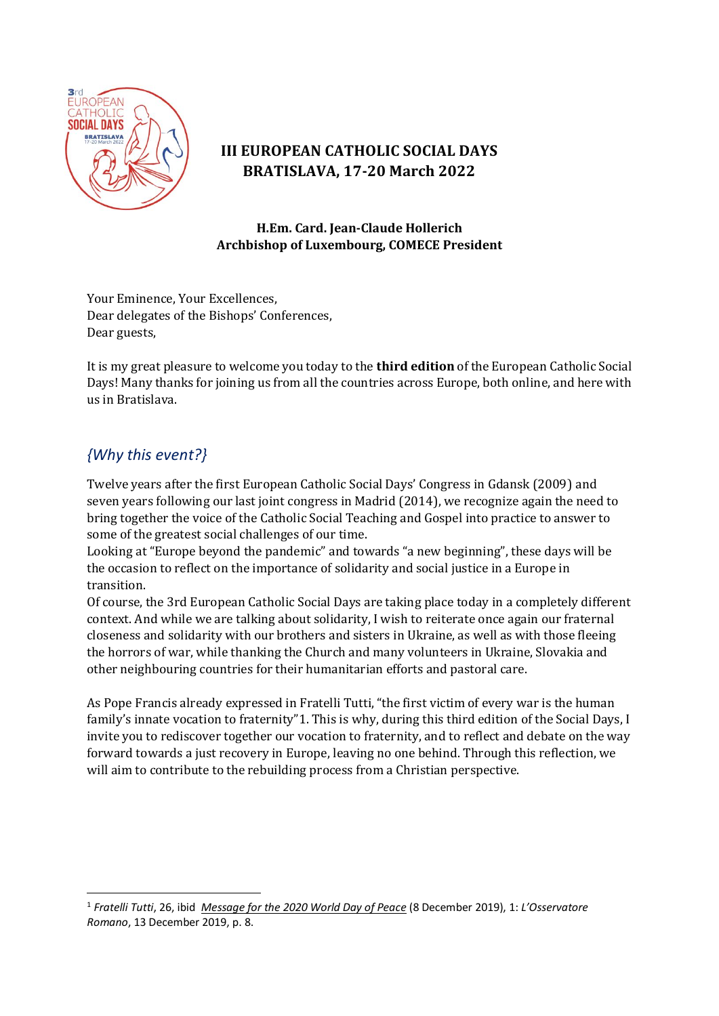

# **III EUROPEAN CATHOLIC SOCIAL DAYS BRATISLAVA, 17-20 March 2022**

#### **H.Em. Card. Jean-Claude Hollerich Archbishop of Luxembourg, COMECE President**

Your Eminence, Your Excellences, Dear delegates of the Bishops' Conferences, Dear guests,

It is my great pleasure to welcome you today to the **third edition** of the European Catholic Social Days! Many thanks for joining us from all the countries across Europe, both online, and here with us in Bratislava.

### *{Why this event?}*

Twelve years after the first European Catholic Social Days' Congress in Gdansk (2009) and seven years following our last joint congress in Madrid (2014), we recognize again the need to bring together the voice of the Catholic Social Teaching and Gospel into practice to answer to some of the greatest social challenges of our time.

Looking at "Europe beyond the pandemic" and towards "a new beginning", these days will be the occasion to reflect on the importance of solidarity and social justice in a Europe in transition.

Of course, the 3rd European Catholic Social Days are taking place today in a completely different context. And while we are talking about solidarity, I wish to [reiterate](https://www.comece.eu/wp-content/uploads/sites/2/2022/02/2022-01-26-EN-Statement-Ukraine.pdf) once again our fraternal closeness and solidarity with our brothers and sisters in Ukraine, as well as with those fleeing the horrors of war, while thanking the Church and many volunteers in Ukraine, Slovakia and other neighbouring countries for their humanitarian efforts and pastoral care.

As Pope Francis already expressed in Fratelli Tutti, "the first victim of every war is the human family's innate vocation to fraternity"1. This is why, during this third edition of the Social Days, I invite you to rediscover together our vocation to fraternity, and to reflect and debate on the way forward towards a just recovery in Europe, leaving no one behind. Through this reflection, we will aim to contribute to the rebuilding process from a Christian perspective.

<sup>1</sup> *Fratelli Tutti*, 26, ibid *Message for [the 2020 World Day of Peace](http://www.vatican.va/content/francesco/en/messages/peace/documents/papa-francesco_20191208_messaggio-53giornatamondiale-pace2020.html)* (8 December 2019), 1: *L'Osservatore Romano*, 13 December 2019, p. 8.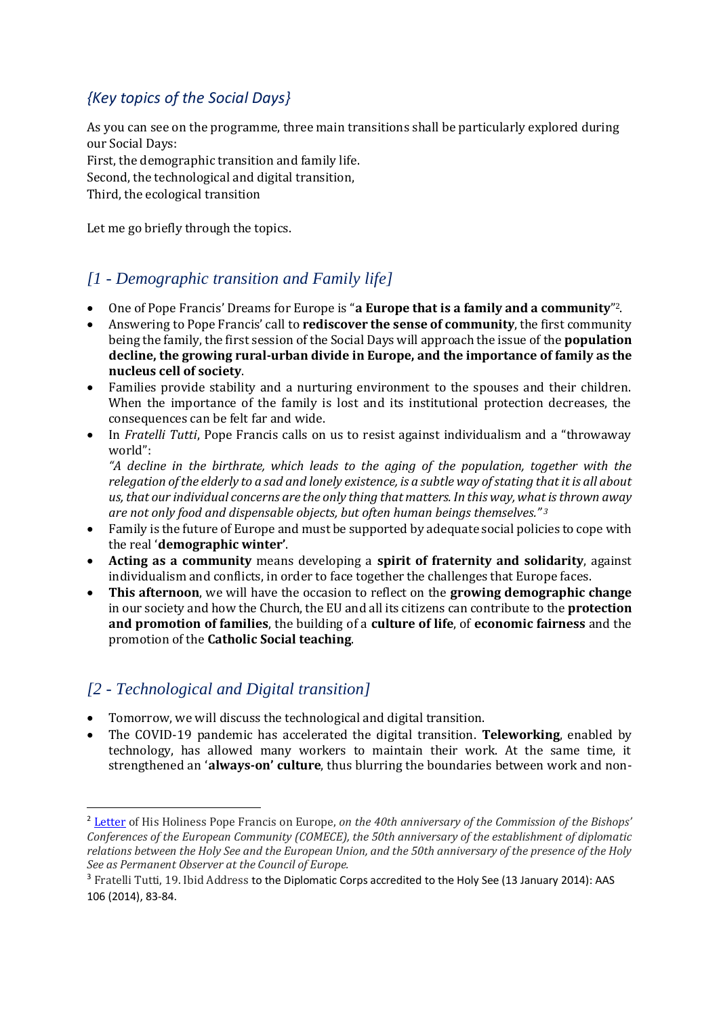# *{Key topics of the Social Days}*

As you can see on the programme, three main transitions shall be particularly explored during our Social Days: First, the demographic transition and family life. Second, the technological and digital transition,

Third, the ecological transition

Let me go briefly through the topics.

### *[1 - Demographic transition and Family life]*

- One of Pope Francis' Dreams for Europe is "**a Europe that is a family and a community**" 2.
- Answering to Pope Francis' call to **rediscover the sense of community**, the first community being the family, the first session of the Social Days will approach the issue of the **population decline, the growing rural-urban divide in Europe, and the importance of family as the nucleus cell of society**.
- Families provide stability and a nurturing environment to the spouses and their children. When the importance of the family is lost and its institutional protection decreases, the consequences can be felt far and wide.
- In *Fratelli Tutti*, Pope Francis calls on us to resist against individualism and a "throwaway world":

*"A decline in the birthrate, which leads to the aging of the population, together with the relegation of the elderly to a sad and lonely existence, is a subtle way of stating that it is all about us, that our individual concerns are the only thing that matters. In this way, what is thrown away are not only food and dispensable objects, but often human beings themselves." <sup>3</sup>*

- Family is the future of Europe and must be supported by adequate social policies to cope with the real '**demographic winter'**.
- **Acting as a community** means developing a **spirit of fraternity and solidarity**, against individualism and conflicts, in order to face together the challenges that Europe faces.
- **This afternoon**, we will have the occasion to reflect on the **growing demographic change** in our society and how the Church, the EU and all its citizens can contribute to the **protection and promotion of families**, the building of a **culture of life**, of **economic fairness** and the promotion of the **Catholic Social teaching**.

#### *[2 - Technological and Digital transition]*

- Tomorrow, we will discuss the technological and digital transition.
- The COVID-19 pandemic has accelerated the digital transition. **Teleworking**, enabled by technology, has allowed many workers to maintain their work. At the same time, it strengthened an '**always-on' culture**, thus blurring the boundaries between work and non-

<sup>2</sup> [Letter](https://www.vatican.va/content/francesco/en/letters/2020/documents/papa-francesco_20201022_lettera-parolin-europa.html) of His Holiness Pope Francis on Europe, *on the 40th anniversary of the Commission of the Bishops' Conferences of the European Community (COMECE), the 50th anniversary of the establishment of diplomatic relations between the Holy See and the European Union, and the 50th anniversary of the presence of the Holy See as Permanent Observer at the Council of Europe.*

<sup>&</sup>lt;sup>3</sup> Fratelli Tutti, 19. Ibid Address to the Diplomatic Corps accredited to the Holy See (13 January 2014): AAS 106 (2014), 83-84.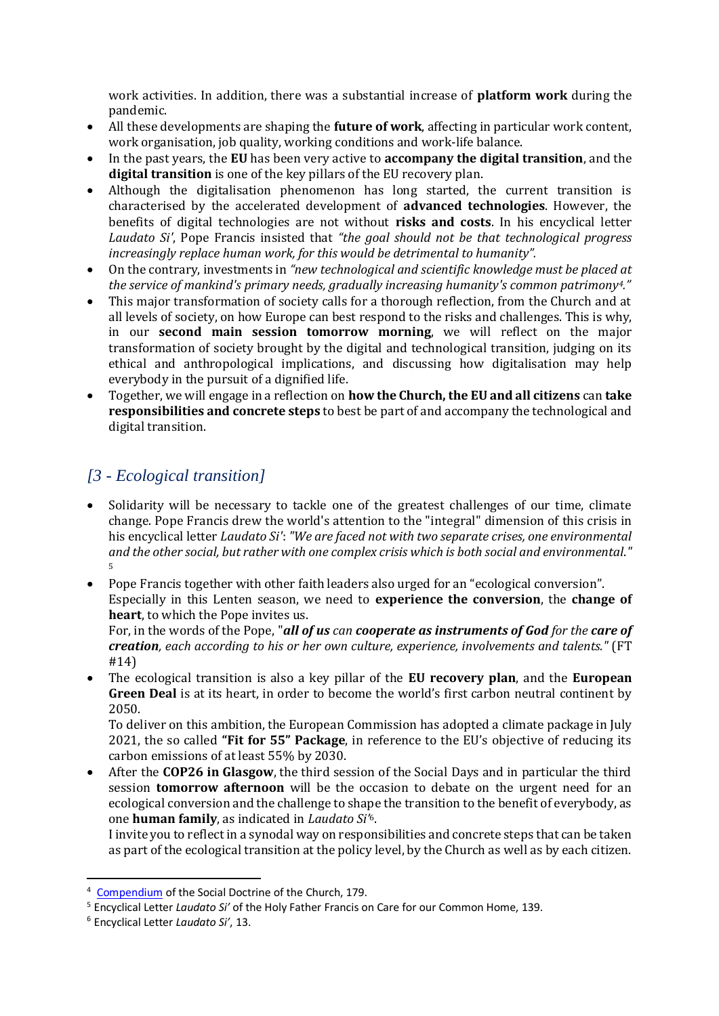work activities. In addition, there was a substantial increase of **platform work** during the pandemic.

- All these developments are shaping the **future of work**, affecting in particular work content, work organisation, job quality, working conditions and work-life balance.
- In the past years, the **EU** has been very active to **accompany the digital transition**, and the **digital transition** is one of the key pillars of the EU recovery plan.
- Although the digitalisation phenomenon has long started, the current transition is characterised by the accelerated development of **advanced technologies**. However, the benefits of digital technologies are not without **risks and costs**. In his encyclical letter *Laudato Si'*, Pope Francis insisted that *"the goal should not be that technological progress increasingly replace human work, for this would be detrimental to humanity".*
- On the contrary, investments in *"new technological and scientific knowledge must be placed at the service of mankind's primary needs, gradually increasing humanity's common patrimony4."*
- This major transformation of society calls for a thorough reflection, from the Church and at all levels of society, on how Europe can best respond to the risks and challenges. This is why, in our **second main session tomorrow morning**, we will reflect on the major transformation of society brought by the digital and technological transition, judging on its ethical and anthropological implications, and discussing how digitalisation may help everybody in the pursuit of a dignified life.
- Together, we will engage in a reflection on **how the Church, the EU and all citizens** can **take responsibilities and concrete steps** to best be part of and accompany the technological and digital transition.

#### *[3 - Ecological transition]*

- Solidarity will be necessary to tackle one of the greatest challenges of our time, climate change. Pope Francis drew the world's attention to the "integral" dimension of this crisis in his encyclical letter *Laudato Si'*: *"We are faced not with two separate crises, one environmental and the other social, but rather with one complex crisis which is both social and environmental*.*"* 5
- Pope Francis together with other faith leaders also urged for an "ecological conversion". Especially in this Lenten season, we need to **experience the conversion**, the **change of heart**, to which the Pope invites us.

For, in the words of the Pope, "*all of us can cooperate as instruments of God for the care of creation, each according to his or her own culture, experience, involvements and talents."* (FT #14)

• The ecological transition is also a key pillar of the **EU recovery plan**, and the **European Green Deal** is at its heart, in order to become the world's first carbon neutral continent by 2050.

To deliver on this ambition, the European Commission has adopted a climate package in July 2021, the so called **"Fit for 55" Package**, in reference to the EU's objective of reducing its carbon emissions of at least 55% by 2030.

• After the **COP26 in Glasgow**, the third session of the Social Days and in particular the third session **tomorrow afternoon** will be the occasion to debate on the urgent need for an ecological conversion and the challenge to shape the transition to the benefit of everybody, as one **human family**, as indicated in *Laudato Si'*6.

I invite you to reflect in a synodal way on responsibilities and concrete steps that can be taken as part of the ecological transition at the policy level, by the Church as well as by each citizen.

<sup>4</sup> [Compendium](https://www.vatican.va/roman_curia/pontifical_councils/justpeace/documents/rc_pc_justpeace_doc_20060526_compendio-dott-soc_en.html) of the Social Doctrine of the Church, 179.

<sup>5</sup> Encyclical Letter *Laudato Si'* of the Holy Father Francis on Care for our Common Home, 139.

<sup>6</sup> Encyclical Letter *Laudato Si'*, 13.